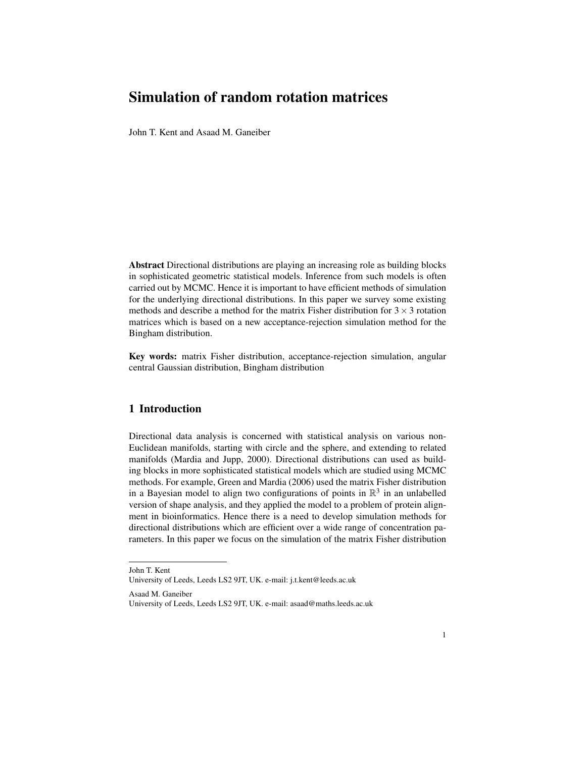# Simulation of random rotation matrices

John T. Kent and Asaad M. Ganeiber

Abstract Directional distributions are playing an increasing role as building blocks in sophisticated geometric statistical models. Inference from such models is often carried out by MCMC. Hence it is important to have efficient methods of simulation for the underlying directional distributions. In this paper we survey some existing methods and describe a method for the matrix Fisher distribution for  $3 \times 3$  rotation matrices which is based on a new acceptance-rejection simulation method for the Bingham distribution.

Key words: matrix Fisher distribution, acceptance-rejection simulation, angular central Gaussian distribution, Bingham distribution

## 1 Introduction

Directional data analysis is concerned with statistical analysis on various non-Euclidean manifolds, starting with circle and the sphere, and extending to related manifolds (Mardia and Jupp, 2000). Directional distributions can used as building blocks in more sophisticated statistical models which are studied using MCMC methods. For example, Green and Mardia (2006) used the matrix Fisher distribution in a Bayesian model to align two configurations of points in  $\mathbb{R}^3$  in an unlabelled version of shape analysis, and they applied the model to a problem of protein alignment in bioinformatics. Hence there is a need to develop simulation methods for directional distributions which are efficient over a wide range of concentration parameters. In this paper we focus on the simulation of the matrix Fisher distribution

Asaad M. Ganeiber

John T. Kent

University of Leeds, Leeds LS2 9JT, UK. e-mail: j.t.kent@leeds.ac.uk

University of Leeds, Leeds LS2 9JT, UK. e-mail: asaad@maths.leeds.ac.uk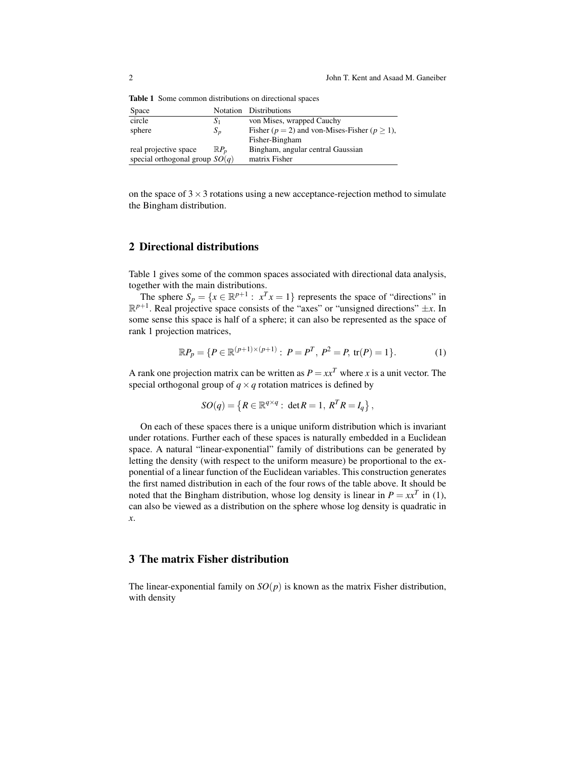Table 1 Some common distributions on directional spaces

| Space                            |                 | Notation Distributions                               |
|----------------------------------|-----------------|------------------------------------------------------|
| circle                           | $S_1$           | von Mises, wrapped Cauchy                            |
| sphere                           | $S_p$           | Fisher ( $p = 2$ ) and von-Mises-Fisher ( $p > 1$ ), |
|                                  |                 | Fisher-Bingham                                       |
| real projective space            | $\mathbb{R}P_n$ | Bingham, angular central Gaussian                    |
| special orthogonal group $SO(q)$ |                 | matrix Fisher                                        |

on the space of  $3 \times 3$  rotations using a new acceptance-rejection method to simulate the Bingham distribution.

#### 2 Directional distributions

Table 1 gives some of the common spaces associated with directional data analysis, together with the main distributions.

The sphere  $S_p = \{x \in \mathbb{R}^{p+1} : x^T x = 1\}$  represents the space of "directions" in  $\mathbb{R}^{p+1}$ . Real projective space consists of the "axes" or "unsigned directions"  $\pm x$ . In some sense this space is half of a sphere; it can also be represented as the space of rank 1 projection matrices,

$$
\mathbb{R}P_p = \{ P \in \mathbb{R}^{(p+1)\times(p+1)} : P = P^T, P^2 = P, \text{tr}(P) = 1 \}.
$$
 (1)

A rank one projection matrix can be written as  $P = xx^T$  where *x* is a unit vector. The special orthogonal group of  $q \times q$  rotation matrices is defined by

$$
SO(q) = \left\{ R \in \mathbb{R}^{q \times q} : \det R = 1, R^T R = I_q \right\},\
$$

On each of these spaces there is a unique uniform distribution which is invariant under rotations. Further each of these spaces is naturally embedded in a Euclidean space. A natural "linear-exponential" family of distributions can be generated by letting the density (with respect to the uniform measure) be proportional to the exponential of a linear function of the Euclidean variables. This construction generates the first named distribution in each of the four rows of the table above. It should be noted that the Bingham distribution, whose log density is linear in  $P = xx^T$  in (1), can also be viewed as a distribution on the sphere whose log density is quadratic in *x*.

#### 3 The matrix Fisher distribution

The linear-exponential family on  $SO(p)$  is known as the matrix Fisher distribution, with density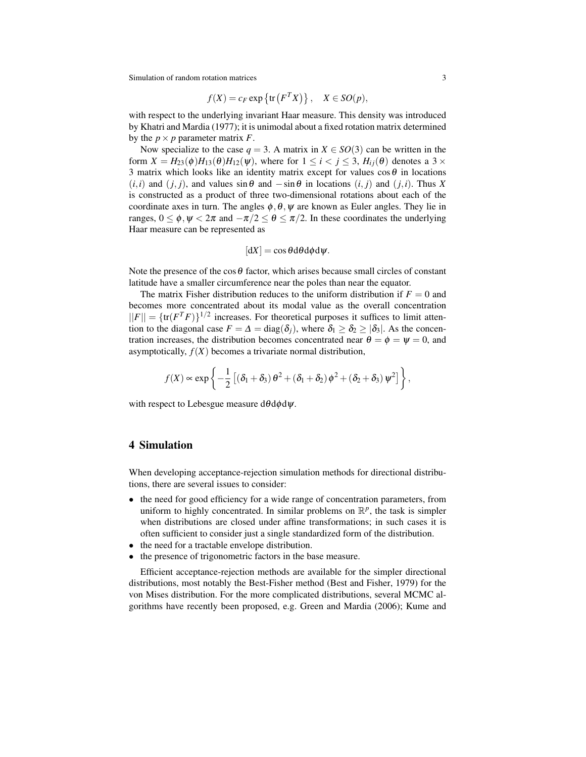Simulation of random rotation matrices 3

$$
f(X) = c_F \exp\left\{ \text{tr}\left(F^T X\right) \right\}, \quad X \in SO(p),
$$

with respect to the underlying invariant Haar measure. This density was introduced by Khatri and Mardia (1977); it is unimodal about a fixed rotation matrix determined by the  $p \times p$  parameter matrix *F*.

Now specialize to the case  $q = 3$ . A matrix in  $X \in SO(3)$  can be written in the form  $X = H_{23}(\phi)H_{13}(\theta)H_{12}(\psi)$ , where for  $1 \leq i < j \leq 3$ ,  $H_{ij}(\theta)$  denotes a 3 × 3 matrix which looks like an identity matrix except for values  $\cos\theta$  in locations  $(i,i)$  and  $(j,j)$ , and values sin $\theta$  and  $-\sin\theta$  in locations  $(i,j)$  and  $(j,i)$ . Thus *X* is constructed as a product of three two-dimensional rotations about each of the coordinate axes in turn. The angles  $\phi$ ,  $\theta$ ,  $\psi$  are known as Euler angles. They lie in ranges,  $0 \le \phi$ ,  $\psi < 2\pi$  and  $-\pi/2 \le \theta \le \pi/2$ . In these coordinates the underlying Haar measure can be represented as

$$
[dX] = \cos\theta d\theta d\phi d\psi.
$$

Note the presence of the cos  $\theta$  factor, which arises because small circles of constant latitude have a smaller circumference near the poles than near the equator.

The matrix Fisher distribution reduces to the uniform distribution if  $F = 0$  and becomes more concentrated about its modal value as the overall concentration  $||F|| = {tr(F^{T}F)}^{1/2}$  increases. For theoretical purposes it suffices to limit attention to the diagonal case  $F = \Delta = \text{diag}(\delta_j)$ , where  $\delta_1 \geq \delta_2 \geq |\delta_3|$ . As the concentration increases, the distribution becomes concentrated near  $\theta = \phi = \psi = 0$ , and asymptotically,  $f(X)$  becomes a trivariate normal distribution,

$$
f(X) \propto \exp \left\{-\frac{1}{2} \left[ \left(\delta_1 + \delta_3\right) \theta^2 + \left(\delta_1 + \delta_2\right) \phi^2 + \left(\delta_2 + \delta_3\right) \psi^2 \right] \right\},\
$$

with respect to Lebesgue measure  $d\theta d\phi d\psi$ .

#### 4 Simulation

When developing acceptance-rejection simulation methods for directional distributions, there are several issues to consider:

- the need for good efficiency for a wide range of concentration parameters, from uniform to highly concentrated. In similar problems on  $\mathbb{R}^p$ , the task is simpler when distributions are closed under affine transformations; in such cases it is often sufficient to consider just a single standardized form of the distribution.
- the need for a tractable envelope distribution.
- the presence of trigonometric factors in the base measure.

Efficient acceptance-rejection methods are available for the simpler directional distributions, most notably the Best-Fisher method (Best and Fisher, 1979) for the von Mises distribution. For the more complicated distributions, several MCMC algorithms have recently been proposed, e.g. Green and Mardia (2006); Kume and